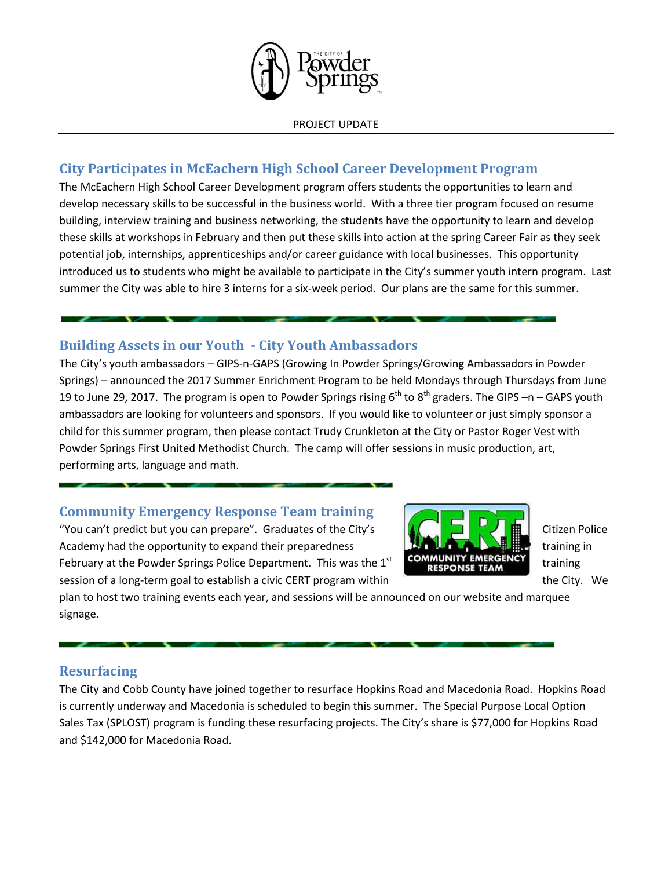

### **City Participates in McEachern High School Career Development Program**

The McEachern High School Career Development program offers students the opportunities to learn and develop necessary skills to be successful in the business world. With a three tier program focused on resume building, interview training and business networking, the students have the opportunity to learn and develop these skills at workshops in February and then put these skills into action at the spring Career Fair as they seek potential job, internships, apprenticeships and/or career guidance with local businesses. This opportunity introduced us to students who might be available to participate in the City's summer youth intern program. Last summer the City was able to hire 3 interns for a six-week period. Our plans are the same for this summer.

#### **Building Assets in our Youth - City Youth Ambassadors**

The City's youth ambassadors – GIPS-n-GAPS (Growing In Powder Springs/Growing Ambassadors in Powder Springs) – announced the 2017 Summer Enrichment Program to be held Mondays through Thursdays from June 19 to June 29, 2017. The program is open to Powder Springs rising  $6<sup>th</sup>$  to  $8<sup>th</sup>$  graders. The GIPS –n – GAPS youth ambassadors are looking for volunteers and sponsors. If you would like to volunteer or just simply sponsor a child for this summer program, then please contact Trudy Crunkleton at the City or Pastor Roger Vest with Powder Springs First United Methodist Church. The camp will offer sessions in music production, art, performing arts, language and math.

### **Community Emergency Response Team training**

"You can't predict but you can prepare". Graduates of the City's  $\|\cdot\|$ Academy had the opportunity to expand their preparedness  $\mathbb{R}$  and  $\mathbb{R}$  and  $\mathbb{R}$  training in February at the Powder Springs Police Department. This was the  $1<sup>st</sup>$ session of a long-term goal to establish a civic CERT program within the City. We the City. We



plan to host two training events each year, and sessions will be announced on our website and marquee signage.

### **Resurfacing**

The City and Cobb County have joined together to resurface Hopkins Road and Macedonia Road. Hopkins Road is currently underway and Macedonia is scheduled to begin this summer. The Special Purpose Local Option Sales Tax (SPLOST) program is funding these resurfacing projects. The City's share is \$77,000 for Hopkins Road and \$142,000 for Macedonia Road.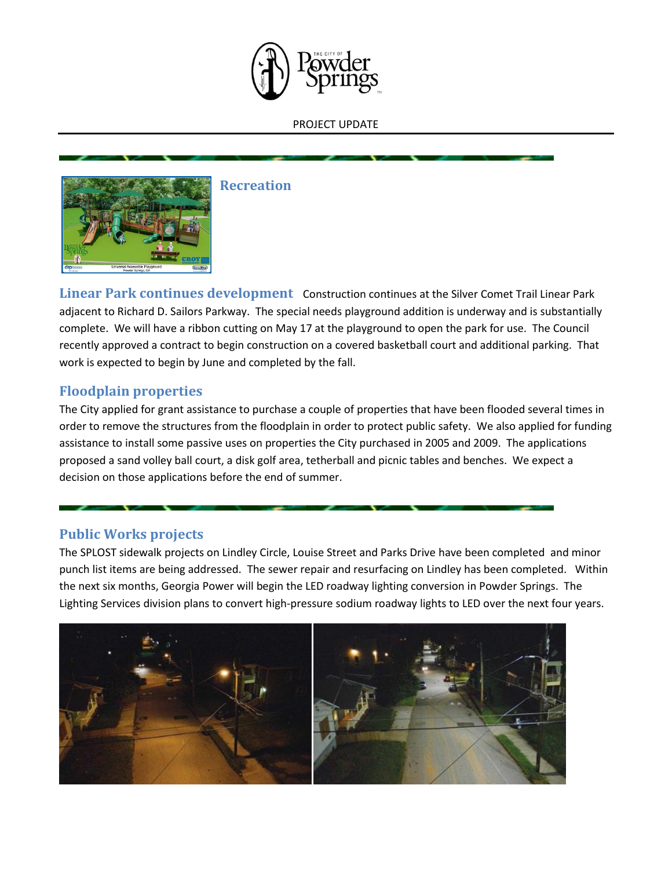



**Recreation**

**Linear Park continues development** Construction continues at the Silver Comet Trail Linear Park adjacent to Richard D. Sailors Parkway. The special needs playground addition is underway and is substantially complete. We will have a ribbon cutting on May 17 at the playground to open the park for use. The Council recently approved a contract to begin construction on a covered basketball court and additional parking. That work is expected to begin by June and completed by the fall.

#### **Floodplain properties**

The City applied for grant assistance to purchase a couple of properties that have been flooded several times in order to remove the structures from the floodplain in order to protect public safety. We also applied for funding assistance to install some passive uses on properties the City purchased in 2005 and 2009. The applications proposed a sand volley ball court, a disk golf area, tetherball and picnic tables and benches. We expect a decision on those applications before the end of summer.

#### **Public Works projects**

The SPLOST sidewalk projects on Lindley Circle, Louise Street and Parks Drive have been completed and minor punch list items are being addressed. The sewer repair and resurfacing on Lindley has been completed. Within the next six months, Georgia Power will begin the LED roadway lighting conversion in Powder Springs. The Lighting Services division plans to convert high-pressure sodium roadway lights to LED over the next four years.

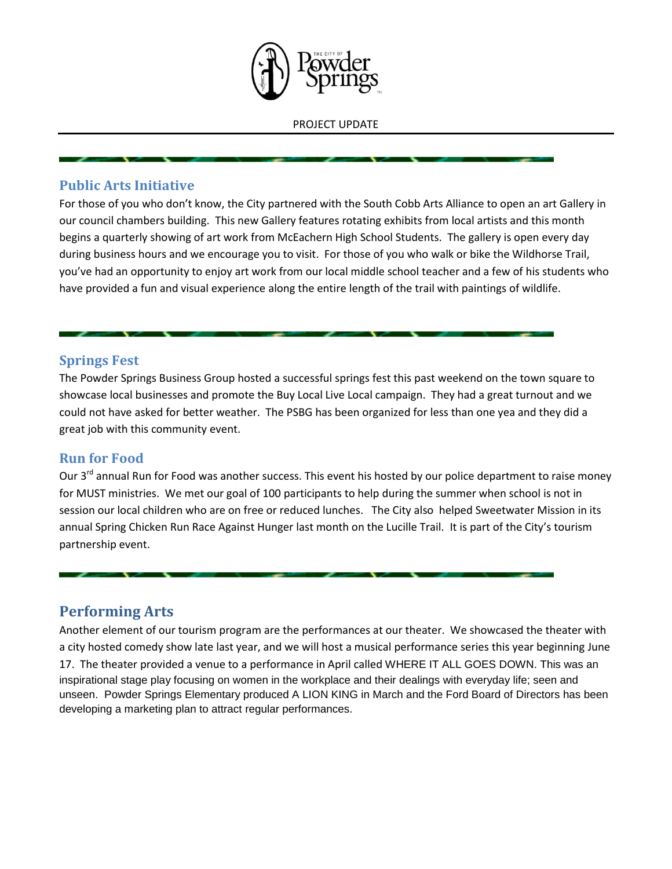

#### **Public Arts Initiative**

For those of you who don't know, the City partnered with the South Cobb Arts Alliance to open an art Gallery in our council chambers building. This new Gallery features rotating exhibits from local artists and this month begins a quarterly showing of art work from McEachern High School Students. The gallery is open every day during business hours and we encourage you to visit. For those of you who walk or bike the Wildhorse Trail, you've had an opportunity to enjoy art work from our local middle school teacher and a few of his students who have provided a fun and visual experience along the entire length of the trail with paintings of wildlife.

#### **Springs Fest**

The Powder Springs Business Group hosted a successful springs fest this past weekend on the town square to showcase local businesses and promote the Buy Local Live Local campaign. They had a great turnout and we could not have asked for better weather. The PSBG has been organized for less than one yea and they did a great job with this community event.

#### **Run for Food**

Our 3<sup>rd</sup> annual Run for Food was another success. This event his hosted by our police department to raise money for MUST ministries. We met our goal of 100 participants to help during the summer when school is not in session our local children who are on free or reduced lunches. The City also helped Sweetwater Mission in its annual Spring Chicken Run Race Against Hunger last month on the Lucille Trail. It is part of the City's tourism partnership event.

## **Performing Arts**

Another element of our tourism program are the performances at our theater. We showcased the theater with a city hosted comedy show late last year, and we will host a musical performance series this year beginning June 17. The theater provided a venue to a performance in April called WHERE IT ALL GOES DOWN. This was an inspirational stage play focusing on women in the workplace and their dealings with everyday life; seen and unseen. Powder Springs Elementary produced A LION KING in March and the Ford Board of Directors has been developing a marketing plan to attract regular performances.